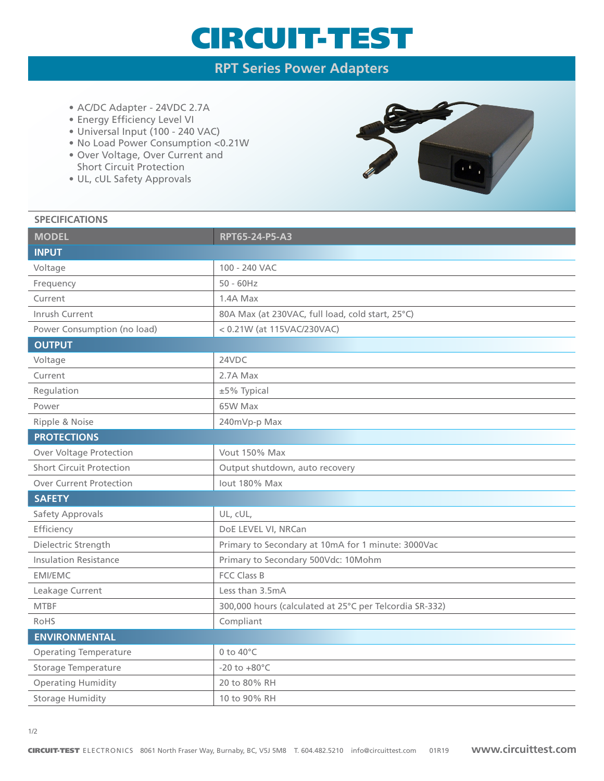## CIRCUIT-TEST

### **RPT Series Power Adapters**

- AC/DC Adapter 24VDC 2.7A
- Energy Efficiency Level VI
- Universal Input (100 240 VAC)
- No Load Power Consumption <0.21W
- Over Voltage, Over Current and Short Circuit Protection
- UL, cUL Safety Approvals



#### **SPECIFICATIONS**

| <b>MODEL</b>                    | RPT65-24-P5-A3                                          |
|---------------------------------|---------------------------------------------------------|
| <b>INPUT</b>                    |                                                         |
| Voltage                         | 100 - 240 VAC                                           |
| Frequency                       | $50 - 60$ Hz                                            |
| Current                         | 1.4A Max                                                |
| Inrush Current                  | 80A Max (at 230VAC, full load, cold start, 25°C)        |
| Power Consumption (no load)     | < 0.21W (at 115VAC/230VAC)                              |
| <b>OUTPUT</b>                   |                                                         |
| Voltage                         | 24VDC                                                   |
| Current                         | 2.7A Max                                                |
| Regulation                      | ±5% Typical                                             |
| Power                           | 65W Max                                                 |
| Ripple & Noise                  | 240mVp-p Max                                            |
| <b>PROTECTIONS</b>              |                                                         |
| <b>Over Voltage Protection</b>  | Vout 150% Max                                           |
| <b>Short Circuit Protection</b> | Output shutdown, auto recovery                          |
| <b>Over Current Protection</b>  | lout 180% Max                                           |
| <b>SAFETY</b>                   |                                                         |
| Safety Approvals                | UL, cUL,                                                |
| Efficiency                      | DoE LEVEL VI, NRCan                                     |
| Dielectric Strength             | Primary to Secondary at 10mA for 1 minute: 3000Vac      |
| <b>Insulation Resistance</b>    | Primary to Secondary 500Vdc: 10Mohm                     |
| <b>EMI/EMC</b>                  | <b>FCC Class B</b>                                      |
| Leakage Current                 | Less than 3.5mA                                         |
| <b>MTBF</b>                     | 300,000 hours (calculated at 25°C per Telcordia SR-332) |
| RoHS                            | Compliant                                               |
| <b>ENVIRONMENTAL</b>            |                                                         |
| <b>Operating Temperature</b>    | 0 to 40°C                                               |
| Storage Temperature             | $-20$ to $+80^{\circ}$ C                                |
| <b>Operating Humidity</b>       | 20 to 80% RH                                            |
| <b>Storage Humidity</b>         | 10 to 90% RH                                            |
|                                 |                                                         |